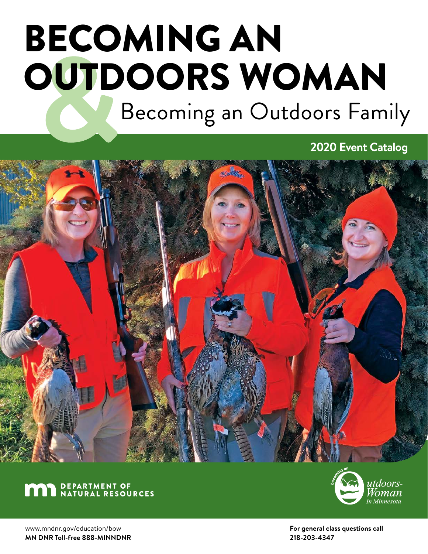# BECOMING AN OUTDOORS WOMAN Becoming an Outdoors Family

**2020 Event Catalog**







www.mndnr.gov/education/bow **MN DNR Toll-free 888-MINNDNR** **For general class questions call 218-203-4347**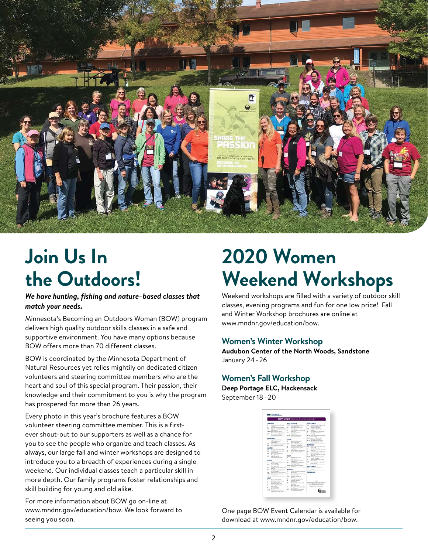

# **Join Us In the Outdoors!**

*We have hunting, fishing and nature–based classes that match your needs.*

Minnesota's Becoming an Outdoors Woman (BOW) program delivers high quality outdoor skills classes in a safe and supportive environment. You have many options because BOW offers more than 70 different classes.

BOW is coordinated by the Minnesota Department of Natural Resources yet relies mightily on dedicated citizen volunteers and steering committee members who are the heart and soul of this special program. Their passion, their knowledge and their commitment to you is why the program has prospered for more than 26 years.

Every photo in this year's brochure features a BOW volunteer steering committee member. This is a firstever shout-out to our supporters as well as a chance for you to see the people who organize and teach classes. As always, our large fall and winter workshops are designed to introduce you to a breadth of experiences during a single weekend. Our individual classes teach a particular skill in more depth. Our family programs foster relationships and skill building for young and old alike.

For more information about BOW go on-line at www.mndnr.gov/education/bow. We look forward to seeing you soon.

# **2020 Women Weekend Workshops**

Weekend workshops are filled with a variety of outdoor skill classes, evening programs and fun for one low price! Fall and Winter Workshop brochures are online at www.mndnr.gov/education/bow.

#### **Women's Winter Workshop**

**Audubon Center of the North Woods, Sandstone**  January 24-26

#### **Women's Fall Workshop**

**Deep Portage ELC, Hackensack** September 18-20

| <b>BOW 2020</b> Warnen Events Calendar                                                                                                                                                                                                                                                                                                                                                                                |                                                                                                                                                                                                                                                                                                                                                                |                                                                                                                                                                                                                                                                                                                                                                                                                                                            |
|-----------------------------------------------------------------------------------------------------------------------------------------------------------------------------------------------------------------------------------------------------------------------------------------------------------------------------------------------------------------------------------------------------------------------|----------------------------------------------------------------------------------------------------------------------------------------------------------------------------------------------------------------------------------------------------------------------------------------------------------------------------------------------------------------|------------------------------------------------------------------------------------------------------------------------------------------------------------------------------------------------------------------------------------------------------------------------------------------------------------------------------------------------------------------------------------------------------------------------------------------------------------|
| <b>JANUARY</b><br>considerable in his finite and<br>٠<br><b>Player College</b><br>Figurers, Allian Steel East<br>Boat on North Inches St.<br><b>Business</b><br>in in Allie houses through the<br>Moduling, Auditors Stress<br><b>Examine to Business</b><br>u<br>For Sulling Sweeting<br>Family Company of Company of Company and<br><b>FEBRUARY</b><br><b>A</b><br>Dog Marking Borner's<br><b>Writer Advertisin</b> | <b>MAY cardinand</b><br>Mark Chryschop Automotives<br><b>Idam, East ALA</b><br>×<br>Intelligent States Today<br><b>Start Store</b><br>$\blacksquare$<br>from automas front booksay<br><b>Loan Part</b><br>- Franker Hawking<br><b>Mark Grief</b><br><b>Built Coff the Cock Library of</b><br>Exerce Inside Advertising<br><b>First</b><br>Skinsk Autory Street | <b>SEPTEMBER </b><br><b>RAY - Microsoft Microfile Earths and</b><br><b>Bill Car Carry County</b><br><b>Business Hontard</b><br><b>b</b> in<br>fredtime Windship<br><b>STARTING</b><br>$\sim$<br>Norda Malking Minnesothi<br>layer or Clean Brand.<br>÷<br>Feet 154<br><b>10.24 Elvis Lat Morgett Marketing</b><br><b>Dany Perhaps</b><br>M-26 control Primari Visit<br>Mindolph Road Library<br>\$8.47 Terri & Martininal Authors<br>Tourished State State |
| <b>Sund Read</b><br>Mercury Hope, Jeffred Allance Party<br>×<br>и<br>ECO race, Bookmaker                                                                                                                                                                                                                                                                                                                              | what Israel Red.<br><b>N</b><br>European Priz, Ray Mitchell<br>Future Timesed<br>٠<br>Futurier Equation Provision<br>÷                                                                                                                                                                                                                                         | OCTOBER<br>Burnarial & shorts from 14um<br>r.                                                                                                                                                                                                                                                                                                                                                                                                              |
| MARGH<br>Fa/lyng Mice State Fare<br>÷<br>Fled 1) Michael Tolluti-Hotel<br>ü<br><b>Santas Muldioni</b><br>down & formula disposition<br><br>Albert State Fleet<br><b>Bahrimeta</b><br>×<br>Ford Godfrey Fried Ford                                                                                                                                                                                                     | <b>December Boot Sections</b><br>Source (Starte)<br>Fourth Wednes, 49 magazine<br><b>Human Arthurs Raytist</b><br>hear<br><b>FIRST</b><br>٠<br>Frenigeter Visuals (Trans.)<br><b>March Green</b>                                                                                                                                                               | <b>Taylor Mind</b><br>٠<br>Far Great Blood Top Freembled<br><b>San Fed</b><br>w<br>Boot turns & Scottish Sharolds<br>Attractive Ave.<br>×<br>Fall Cross Walk, Farm Stretting.<br><b>Survey Starte</b><br>N.M. Office contineing (p)<br>Training Paintings                                                                                                                                                                                                  |
| a PAIL<br>Part & Anders Arthur Head<br>between Printers<br>Lease In the Roll.                                                                                                                                                                                                                                                                                                                                         | Stand on Partido Invention<br>ta.<br><b><i><u>Inter Kursts</u></i></b><br>Denama Chieffords<br>allow lower track                                                                                                                                                                                                                                               | ×<br>Re-quiring Military of Espirit.<br>Boxen all all<br><b>Bank contribution in provided</b><br>1941<br><b>Built</b> Market                                                                                                                                                                                                                                                                                                                               |
| Alle G. Street, Oakle<br>Hele and burney Bains Class<br><b>Brail</b> Clay<br>Apr 4 Moham Taska Mort                                                                                                                                                                                                                                                                                                                   | <b>Biddi Superior Security Mandalogue</b><br><b>Lawyer</b><br><b>AUGUST</b>                                                                                                                                                                                                                                                                                    | <b>NOVEMBER</b><br>190 Turnitz Deal-Midwins<br><b>Bismin</b>                                                                                                                                                                                                                                                                                                                                                                                               |
| Service Self-saleties<br>Search Authors Class, Motorin<br><b>Building Cowy of Artists</b><br>mot thing                                                                                                                                                                                                                                                                                                                | Into in Cananza & Assisting<br>Business about<br>that I do those floor the integ-<br>folders insidered<br>b.<br>Inagers Sweep'lds.                                                                                                                                                                                                                             | <b>DECEMBER</b>                                                                                                                                                                                                                                                                                                                                                                                                                                            |
| MAY<br><b>Winner and Sirk Hills</b><br>Carthston, Cartichier                                                                                                                                                                                                                                                                                                                                                          | <b>Straiter</b><br>Herbing-Actions Practices<br>٠<br>÷.<br><b>Fathered Houstons</b>                                                                                                                                                                                                                                                                            |                                                                                                                                                                                                                                                                                                                                                                                                                                                            |
| <b>Build Bushington</b><br>Motivened State Last<br>Carlisburg für Women.<br><b>SLANDAR</b>                                                                                                                                                                                                                                                                                                                            | <b><i><u>Romando</u></i></b><br>November 2 Billion continued for the<br>×<br>board from<br>Albert State State 11                                                                                                                                                                                                                                               | moder.gov/education/fane<br>for class time technical disk<br>existrative information                                                                                                                                                                                                                                                                                                                                                                       |
| Least as The Sign.<br>after their first<br>Figst A. Renturned Bookers<br>School Mark, Treaty County                                                                                                                                                                                                                                                                                                                   | ×<br>Fig.s.b. decisely Their Frankling<br><b>Herito, Chulhall</b><br>×<br>Next Automobile Cover Mused<br>being White Boy's are                                                                                                                                                                                                                                 |                                                                                                                                                                                                                                                                                                                                                                                                                                                            |

One page BOW Event Calendar is available for download at www.mndnr.gov/education/bow.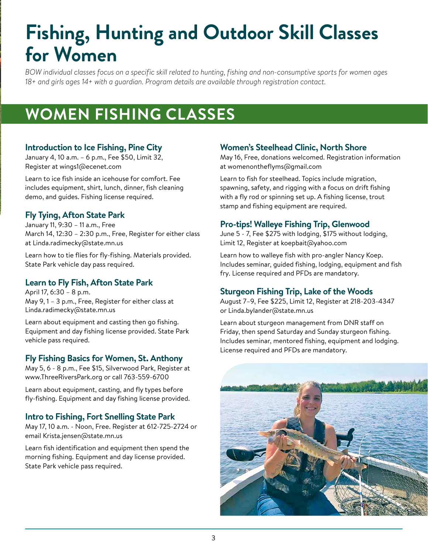# **Fishing, Hunting and Outdoor Skill Classes for Women**

*BOW individual classes focus on a specific skill related to hunting, fishing and non-consumptive sports for women ages 18+ and girls ages 14+ with a guardian. Program details are available through registration contact.* 

# **WOMEN FISHING CLASSES**

#### **Introduction to Ice Fishing, Pine City**

January 4, 10 a.m. – 6 p.m., Fee \$50, Limit 32, Register at wings1@ecenet.com

Learn to ice fish inside an icehouse for comfort. Fee includes equipment, shirt, lunch, dinner, fish cleaning demo, and guides. Fishing license required.

# **Fly Tying, Afton State Park**

January 11, 9:30 – 11 a.m., Free March 14, 12:30 – 2:30 p.m., Free, Register for either class at Linda.radimecky@state.mn.us

Learn how to tie flies for fly-fishing. Materials provided. State Park vehicle day pass required.

# **Learn to Fly Fish, Afton State Park**

April 17, 6:30 – 8 p.m. May 9, 1 – 3 p.m., Free, Register for either class at Linda.radimecky@state.mn.us

Learn about equipment and casting then go fishing. Equipment and day fishing license provided. State Park vehicle pass required.

#### **Fly Fishing Basics for Women, St. Anthony**

May 5, 6 - 8 p.m., Fee \$15, Silverwood Park, Register at www.ThreeRiversPark.org or call 763-559-6700

Learn about equipment, casting, and fly types before fly-fishing. Equipment and day fishing license provided.

#### **Intro to Fishing, Fort Snelling State Park**

May 17, 10 a.m. - Noon, Free. Register at 612-725-2724 or email Krista.jensen@state.mn.us

Learn fish identification and equipment then spend the morning fishing. Equipment and day license provided. State Park vehicle pass required.

#### **Women's Steelhead Clinic, North Shore**

May 16, Free, donations welcomed. Registration information at womenontheflyms@gmail.com

Learn to fish for steelhead. Topics include migration, spawning, safety, and rigging with a focus on drift fishing with a fly rod or spinning set up. A fishing license, trout stamp and fishing equipment are required.

### **Pro-tips! Walleye Fishing Trip, Glenwood**

June 5 - 7, Fee \$275 with lodging, \$175 without lodging, Limit 12, Register at koepbait@yahoo.com

Learn how to walleye fish with pro-angler Nancy Koep. Includes seminar, guided fishing, lodging, equipment and fish fry. License required and PFDs are mandatory.

#### **Sturgeon Fishing Trip, Lake of the Woods**

August 7–9, Fee \$225, Limit 12, Register at 218-203-4347 or Linda.bylander@state.mn.us

Learn about sturgeon management from DNR staff on Friday, then spend Saturday and Sunday sturgeon fishing. Includes seminar, mentored fishing, equipment and lodging. License required and PFDs are mandatory.

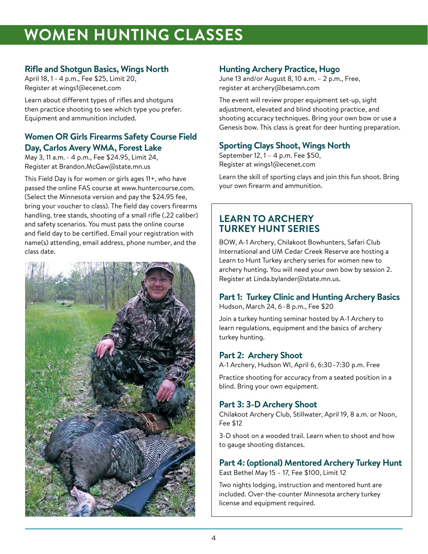# **WOMEN HUNTING CLASSES**

### **Rifle and Shotgun Basics, Wings North**

April 18, 1 - 4 p.m., Fee \$25, Limit 20, Register at wings1@ecenet.com

Learn about different types of rifles and shotguns then practice shooting to see which type you prefer. Equipment and ammunition included.

#### **Women OR Girls Firearms Safety Course Field Day, Carlos Avery WMA, Forest Lake**

May 3, 11 a.m. - 4 p.m., Fee \$24.95, Limit 24, Register at Brandon.McGaw@state.mn.us

This Field Day is for women or girls ages 11+, who have passed the online FAS course at www.huntercourse.com. (Select the Minnesota version and pay the \$24.95 fee, bring your voucher to class). The field day covers firearms handling, tree stands, shooting of a small rifle (.22 caliber) and safety scenarios. You must pass the online course and field day to be certified. Email your registration with name(s) attending, email address, phone number, and the class date.



#### **Hunting Archery Practice, Hugo**

June 13 and/or August 8, 10 a.m. – 2 p.m., Free, register at archery@besamn.com

The event will review proper equipment set-up, sight adjustment, elevated and blind shooting practice, and shooting accuracy techniques. Bring your own bow or use a Genesis bow. This class is great for deer hunting preparation.

# **Sporting Clays Shoot, Wings North**

September 12, 1 – 4 p.m. Fee \$50, Register at wings1@ecenet.com

Learn the skill of sporting clays and join this fun shoot. Bring your own firearm and ammunition.

# **LEARN TO ARCHERY TURKEY HUNT SERIES**

BOW, A-1 Archery, Chilakoot Bowhunters, Safari Club International and UM Cedar Creek Reserve are hosting a Learn to Hunt Turkey archery series for women new to archery hunting. You will need your own bow by session 2. Register at Linda.bylander@state.mn.us.

# **Part 1: Turkey Clinic and Hunting Archery Basics**

Hudson, March 24, 6–8 p.m., Fee \$20

Join a turkey hunting seminar hosted by A-1 Archery to learn regulations, equipment and the basics of archery turkey hunting.

# **Part 2: Archery Shoot**

A-1 Archery, Hudson WI, April 6, 6:30–7:30 p.m. Free

Practice shooting for accuracy from a seated position in a blind. Bring your own equipment.

# **Part 3: 3-D Archery Shoot**

Chilakoot Archery Club, Stillwater, April 19, 8 a.m. or Noon, Fee \$12

3-D shoot on a wooded trail. Learn when to shoot and how to gauge shooting distances.

#### **Part 4: (optional) Mentored Archery Turkey Hunt**

East Bethel May 15 – 17, Fee \$100, Limit 12

Two nights lodging, instruction and mentored hunt are included. Over-the-counter Minnesota archery turkey license and equipment required.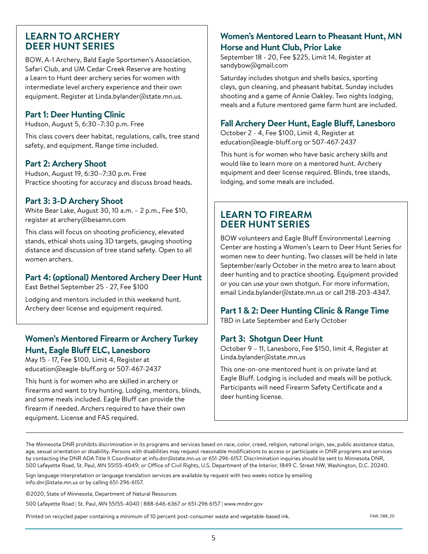#### **LEARN TO ARCHERY DEER HUNT SERIES**

BOW, A-1 Archery, Bald Eagle Sportsmen's Association, Safari Club, and UM Cedar Creek Reserve are hosting a Learn to Hunt deer archery series for women with intermediate level archery experience and their own equipment. Register at Linda.bylander@state.mn.us.

#### **Part 1: Deer Hunting Clinic**

Hudson, August 5, 6:30–7:30 p.m. Free

This class covers deer habitat, regulations, calls, tree stand safety, and equipment. Range time included.

#### **Part 2: Archery Shoot**

Hudson, August 19, 6:30–7:30 p.m. Free Practice shooting for accuracy and discuss broad heads.

#### **Part 3: 3-D Archery Shoot**

White Bear Lake, August 30, 10 a.m. – 2 p.m., Fee \$10, register at archery@besamn.com

This class will focus on shooting proficiency, elevated stands, ethical shots using 3D targets, gauging shooting distance and discussion of tree stand safety. Open to all women archers.

#### **Part 4: (optional) Mentored Archery Deer Hunt**

East Bethel September 25 - 27, Fee \$100

Lodging and mentors included in this weekend hunt. Archery deer license and equipment required.

### **Women's Mentored Firearm or Archery Turkey Hunt, Eagle Bluff ELC, Lanesboro**

May 15 - 17, Fee \$100, Limit 4, Register at education@eagle-bluff.org or 507-467-2437

This hunt is for women who are skilled in archery or firearms and want to try hunting. Lodging, mentors, blinds, and some meals included. Eagle Bluff can provide the firearm if needed. Archers required to have their own equipment. License and FAS required.

#### **Women's Mentored Learn to Pheasant Hunt, MN Horse and Hunt Club, Prior Lake**

September 18 - 20, Fee \$225, Limit 14, Register at sandybow@gmail.com

Saturday includes shotgun and shells basics, sporting clays, gun cleaning, and pheasant habitat. Sunday includes shooting and a game of Annie Oakley. Two nights lodging, meals and a future mentored game farm hunt are included.

#### **Fall Archery Deer Hunt, Eagle Bluff, Lanesboro**

October 2 - 4, Fee \$100, Limit 4, Register at education@eagle-bluff.org or 507-467-2437

This hunt is for women who have basic archery skills and would like to learn more on a mentored hunt. Archery equipment and deer license required. Blinds, tree stands, lodging, and some meals are included.

# **LEARN TO FIREARM DEER HUNT SERIES**

BOW volunteers and Eagle Bluff Environmental Learning Center are hosting a Women's Learn to Deer Hunt Series for women new to deer hunting. Two classes will be held in late September/early October in the metro area to learn about deer hunting and to practice shooting. Equipment provided or you can use your own shotgun. For more information, email Linda.bylander@state.mn.us or call 218-203-4347.

#### **Part 1 & 2: Deer Hunting Clinic & Range Time**

TBD in Late September and Early October

#### **Part 3: Shotgun Deer Hunt**

October 9 – 11, Lanesboro, Fee \$150, limit 4, Register at Linda.bylander@state.mn.us

This one-on-one mentored hunt is on private land at Eagle Bluff. Lodging is included and meals will be potluck. Participants will need Firearm Safety Certificate and a deer hunting license.

The Minnesota DNR prohibits discrimination in its programs and services based on race, color, creed, religion, national origin, sex, public assistance status, age, sexual orientation or disability. Persons with disabilities may request reasonable modifications to access or participate in DNR programs and services by contacting the DNR ADA Title II Coordinator at info.dnr@state.mn.us or 651-296-6157. Discrimination inquiries should be sent to Minnesota DNR, 500 Lafayette Road, St. Paul, MN 55155-4049; or Office of Civil Rights, U.S. Department of the Interior, 1849 C. Street NW, Washington, D.C. 20240.

Sign language interpretation or language translation services are available by request with two weeks notice by emailing info.dnr@state.mn.us or by calling 651-296-6157.

©2020, State of Minnesota, Department of Natural Resources

500 Lafayette Road | St. Paul, MN 55155-4040 | 888-646-6367 or 651-296 6157 | www.mndnr.gov

Printed on recycled paper containing a minimum of 10 percent post-consumer waste and vegetable-based ink. The state and state and state and vegetable-based ink.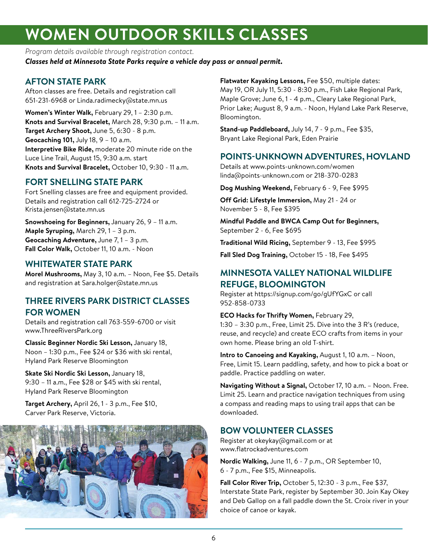# **WOMEN OUTDOOR SKILLS CLASSES**

*Program details available through registration contact. Classes held at Minnesota State Parks require a vehicle day pass or annual permit.*

### **AFTON STATE PARK**

Afton classes are free. Details and registration call 651-231-6968 or Linda.radimecky@state.mn.us

**Women's Winter Walk,** February 29, 1 – 2:30 p.m. **Knots and Survival Bracelet,** March 28, 9:30 p.m. – 11 a.m. **Target Archery Shoot,** June 5, 6:30 - 8 p.m. **Geocaching 101,** July 18, 9 – 10 a.m. **Interpretive Bike Ride,** moderate 20 minute ride on the Luce Line Trail, August 15, 9:30 a.m. start **Knots and Survival Bracelet,** October 10, 9:30 - 11 a.m.

# **FORT SNELLING STATE PARK**

Fort Snelling classes are free and equipment provided. Details and registration call 612-725-2724 or Krista.jensen@state.mn.us

**Snowshoeing for Beginners,** January 26, 9 – 11 a.m. **Maple Syruping,** March 29, 1 – 3 p.m. **Geocaching Adventure,** June 7, 1 – 3 p.m. **Fall Color Walk,** October 11, 10 a.m. - Noon

### **WHITEWATER STATE PARK**

**Morel Mushrooms,** May 3, 10 a.m. – Noon, Fee \$5. Details and registration at Sara.holger@state.mn.us

### **THREE RIVERS PARK DISTRICT CLASSES FOR WOMEN**

Details and registration call 763-559-6700 or visit www.ThreeRiversPark.org

**Classic Beginner Nordic Ski Lesson,** January 18, Noon – 1:30 p.m., Fee \$24 or \$36 with ski rental, Hyland Park Reserve Bloomington

**Skate Ski Nordic Ski Lesson,** January 18, 9:30 – 11 a.m., Fee \$28 or \$45 with ski rental, Hyland Park Reserve Bloomington

**Target Archery,** April 26, 1 - 3 p.m., Fee \$10, Carver Park Reserve, Victoria.



**Flatwater Kayaking Lessons,** Fee \$50, multiple dates: May 19, OR July 11, 5:30 - 8:30 p.m., Fish Lake Regional Park, Maple Grove; June 6, 1 - 4 p.m., Cleary Lake Regional Park, Prior Lake; August 8, 9 a.m. - Noon, Hyland Lake Park Reserve, Bloomington.

**Stand-up Paddleboard,** July 14, 7 - 9 p.m., Fee \$35, Bryant Lake Regional Park, Eden Prairie

### **POINTS-UNKNOWN ADVENTURES, HOVLAND**

Details at www.points-unknown.com/women linda@points-unknown.com or 218-370-0283

**Dog Mushing Weekend,** February 6 - 9, Fee \$995

**Off Grid: Lifestyle Immersion,** May 21 - 24 or November 5 - 8, Fee \$395

**Mindful Paddle and BWCA Camp Out for Beginners,**  September 2 - 6, Fee \$695

**Traditional Wild Ricing,** September 9 - 13, Fee \$995

**Fall Sled Dog Training,** October 15 - 18, Fee \$495

### **MINNESOTA VALLEY NATIONAL WILDLIFE REFUGE, BLOOMINGTON**

Register at https://signup.com/go/gUfYGxC or call 952-858-0733

**ECO Hacks for Thrifty Women,** February 29, 1:30 – 3:30 p.m., Free, Limit 25. Dive into the 3 R's (reduce, reuse, and recycle) and create ECO crafts from items in your own home. Please bring an old T-shirt.

**Intro to Canoeing and Kayaking,** August 1, 10 a.m. – Noon, Free, Limit 15. Learn paddling, safety, and how to pick a boat or paddle. Practice paddling on water.

**Navigating Without a Signal,** October 17, 10 a.m. – Noon. Free. Limit 25. Learn and practice navigation techniques from using a compass and reading maps to using trail apps that can be downloaded.

# **BOW VOLUNTEER CLASSES**

Register at okeykay@gmail.com or at www.flatrockadventures.com

**Nordic Walking,** June 11, 6 - 7 p.m., OR September 10, 6 - 7 p.m., Fee \$15, Minneapolis.

**Fall Color River Trip,** October 5, 12:30 - 3 p.m., Fee \$37, Interstate State Park, register by September 30. Join Kay Okey and Deb Gallop on a fall paddle down the St. Croix river in your choice of canoe or kayak.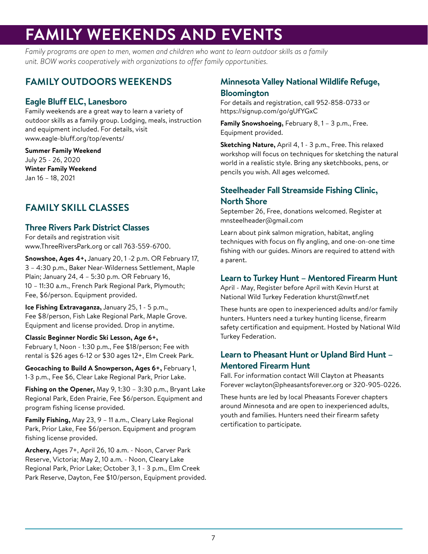# **FAMILY WEEKENDS AND EVENTS**

*Family programs are open to men, women and children who want to learn outdoor skills as a family unit. BOW works cooperatively with organizations to offer family opportunities.*

# **FAMILY OUTDOORS WEEKENDS**

# **Eagle Bluff ELC, Lanesboro**

Family weekends are a great way to learn a variety of outdoor skills as a family group. Lodging, meals, instruction and equipment included. For details, visit www.eagle-bluff.org/top/events/

**Summer Family Weekend** July 25 - 26, 2020 **Winter Family Weekend** Jan 16 – 18, 2021

# **FAMILY SKILL CLASSES**

### **Three Rivers Park District Classes**

For details and registration visit www.ThreeRiversPark.org or call 763-559-6700.

**Snowshoe, Ages 4+,** January 20, 1 -2 p.m. OR February 17, 3 – 4:30 p.m., Baker Near-Wilderness Settlement, Maple Plain; January 24, 4 – 5:30 p.m. OR February 16, 10 – 11:30 a.m., French Park Regional Park, Plymouth; Fee, \$6/person. Equipment provided.

**Ice Fishing Extravaganza,** January 25, 1 - 5 p.m., Fee \$8/person, Fish Lake Regional Park, Maple Grove. Equipment and license provided. Drop in anytime.

#### **Classic Beginner Nordic Ski Lesson, Age 6+,**

February 1, Noon - 1:30 p.m., Fee \$18/person; Fee with rental is \$26 ages 6-12 or \$30 ages 12+, Elm Creek Park.

**Geocaching to Build A Snowperson, Ages 6+,** February 1, 1-3 p.m., Fee \$6, Clear Lake Regional Park, Prior Lake.

**Fishing on the Opener,** May 9, 1:30 – 3:30 p.m., Bryant Lake Regional Park, Eden Prairie, Fee \$6/person. Equipment and program fishing license provided.

**Family Fishing,** May 23, 9 – 11 a.m., Cleary Lake Regional Park, Prior Lake, Fee \$6/person. Equipment and program fishing license provided.

**Archery,** Ages 7+, April 26, 10 a.m. - Noon, Carver Park Reserve, Victoria; May 2, 10 a.m. - Noon, Cleary Lake Regional Park, Prior Lake; October 3, 1 - 3 p.m., Elm Creek Park Reserve, Dayton, Fee \$10/person, Equipment provided.

#### **Minnesota Valley National Wildlife Refuge, Bloomington**

For details and registration, call 952-858-0733 or https://signup.com/go/gUfYGxC

**Family Snowshoeing,** February 8, 1 – 3 p.m., Free. Equipment provided.

**Sketching Nature,** April 4, 1 - 3 p.m., Free. This relaxed workshop will focus on techniques for sketching the natural world in a realistic style. Bring any sketchbooks, pens, or pencils you wish. All ages welcomed.

# **Steelheader Fall Streamside Fishing Clinic, North Shore**

September 26, Free, donations welcomed. Register at mnsteelheader@gmail.com

Learn about pink salmon migration, habitat, angling techniques with focus on fly angling, and one-on-one time fishing with our guides. Minors are required to attend with a parent.

#### **Learn to Turkey Hunt – Mentored Firearm Hunt**

April - May, Register before April with Kevin Hurst at National Wild Turkey Federation khurst@nwtf.net

These hunts are open to inexperienced adults and/or family hunters. Hunters need a turkey hunting license, firearm safety certification and equipment. Hosted by National Wild Turkey Federation.

### **Learn to Pheasant Hunt or Upland Bird Hunt – Mentored Firearm Hunt**

Fall. For information contact Will Clayton at Pheasants Forever wclayton@pheasantsforever.org or 320-905-0226.

These hunts are led by local Pheasants Forever chapters around Minnesota and are open to inexperienced adults, youth and families. Hunters need their firearm safety certification to participate.